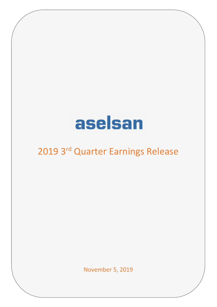# aselsan

# 2019 3rd Quarter Earnings Release

November 5, 2019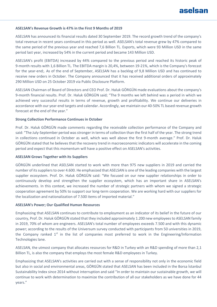# aselsan

### **ASELSAN's Revenue Growth is 47% in the First 9 Months of 2019**

ASELSAN has announced its financial results dated 30 September 2019. The record growth trend of the company's total revenue in recent years continued in this period as well. ASELSAN's total revenue grew by 47% compared to the same period of the previous year and reached 7,6 Billion TL. Exports, which were 93 Million USD in the same period last year, increased by 54% in the current period and became 143 Million USD.

ASELSAN's profit (EBITDA) increased by 44% compared to the previous period and reached its historic peak of 9-month results with 1,6 Billion TL. The EBITDA margin is 20,4%, between 19-21%, which is the Company's forecast for the year-end;. As of the end of September, ASELSAN has a backlog of 9,8 Million USD and has continued to receive new orders in October. The Company announced that it has received additional orders of approximately 290 Million USD on 25 October 2019 via Public Disclosure Platform.

ASELSAN Chairman of Board of Directors and CEO Prof. Dr. Haluk GÖRGÜN made evaluations about the company's 9-month financial results. Prof. Dr. Haluk GÖRGÜN said; "The 9 months we left behind was a period in which we achieved very successful results in terms of revenue, growth and profitability. We continue our deliveries in accordance with our year-end targets and calendar. Accordingly, we maintain our 40-50% TL based revenue growth forecast at the end of the year."

### **Strong Collection Performance Continues in October**

Prof. Dr. Haluk GÖRGÜN made comments regarding the receivable collection performance of the Company and said: "The July-September period was stronger in terms of collection than the first half of the year. The strong trend in collections continued in October as well, which was well above the first 9-month average." Prof. Dr. Haluk GÖRGÜN stated that he believes that the recovery trend in macroeconomic indicators will accelerate in the coming period and expect that this momentum will have a positive effect on ASELSAN's activities.

#### **ASELSAN Grows Together with its Suppliers**

GÖRGÜN underlined that ASELSAN started to work with more than 975 new suppliers in 2019 and carried the number of itssuppliers to over 4.600. He emphasized that ASELSAN is one of the leading companies with the largest supplier ecosystem. Prof. Dr. Haluk GÖRGÜN said: "We focused on our new supplier relationships in order to continuously develop and strengthen the supplier ecosystem, which has an important share in ASELSAN's achievements. In this context, we increased the number of strategic partners with whom we signed a strategic cooperation agreement by 50% to support our long-term cooperation. We are working hard with our suppliers for the localization and nationalization of 7.500 items of imported material."

#### **ASELSAN's Power; Our Qualified Human Resources**

Emphasizing that ASELSAN continues to contribute to employment as an indicator of its belief in the future of our country, Prof. Dr. Haluk GÖRGÜN stated that they included approximately 1.200 new employees to ASELSAN family in 2019, 70% of whom are engineers. ASELSAN's total number of employees exceeds 7.500 and with this dynamic power; according to the results of the Universum survey conducted with participants from 50 universities in 2019, the Company ranked  $1<sup>st</sup>$  in the list of companies most preferred to work in the Engineering/Information Technologies lane.

ASELSAN, the utmost company that allocates resources for R&D in Turkey with an R&D spending of more than 2,1 Billion TL, is also the company that employs the most female R&D employees in Turkey.

Emphasizing that ASELSAN's activities are carried out with a sense of responsibility not only in the economic field but also in social and environmental areas, GÖRGÜN stated that ASELSAN has been included in the Borsa İstanbul Sustainability Index since 2014 without interruption and said "In order to maintain our sustainable growth, we will continue to work with determination to maximize the contribution of all our stakeholders as we have done for 44 years."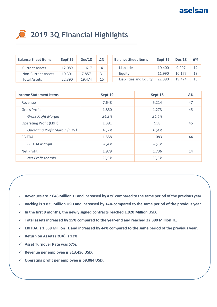# **2019 3Q Financial Highlights**

| <b>Balance Sheet Items</b> | Sept'19 | <b>Dec'18</b> | Δ% | <b>Balance Sheet Items</b> | Sept'19 | <b>Dec'18</b> | Δ% |
|----------------------------|---------|---------------|----|----------------------------|---------|---------------|----|
| <b>Current Assets</b>      | 12.089  | 11.617        | 4  | Liabilities                | 10.400  | 9.297         | 12 |
| <b>Non-Current Assets</b>  | 10.301  | 7.857         | 31 | Equity                     | 11.990  | 10.177        | 18 |
| <b>Total Assets</b>        | 22.390  | 19.474        | 15 | Liabilities and Equity     | 22.390  | 19.474        | 15 |

| <b>Income Statement Items</b>         | Sept'19 | Sept'18 | Δ% |
|---------------------------------------|---------|---------|----|
| Revenue                               | 7.648   | 5.214   | 47 |
| <b>Gross Profit</b>                   | 1.850   | 1.273   | 45 |
| <b>Gross Profit Margin</b>            | 24,2%   | 24,4%   |    |
| <b>Operating Profit (EBIT)</b>        | 1.391   | 958     | 45 |
| <b>Operating Profit Margin (EBIT)</b> | 18,2%   | 18,4%   |    |
| <b>EBITDA</b>                         | 1.558   | 1.083   | 44 |
| <b>EBITDA Margin</b>                  | 20,4%   | 20,8%   |    |
| Net Profit                            | 1.979   | 1.736   | 14 |
| Net Profit Margin                     | 25,9%   | 33,3%   |    |

- **Revenues are 7.648 Million TL and increased by 47% compared to the same period of the previous year.**
- **Backlog is 9.825 Million USD and increased by 14% compared to the same period of the previous year.**
- $\checkmark$  In the first 9 months, the newly signed contracts reached 1.920 Million USD.
- **Total assets increased by 15% compared to the year-end and reached 22.390 Million TL.**
- **EBITDA is 1.558 Million TL and increased by 44% compared to the same period of the previous year.**
- **Return on Assets (ROA) is 13%.**
- **Asset Turnover Rate was 57%.**
- **Revenue per employee is 313.456 USD.**
- **Operating profit per employee is 59.084 USD.**